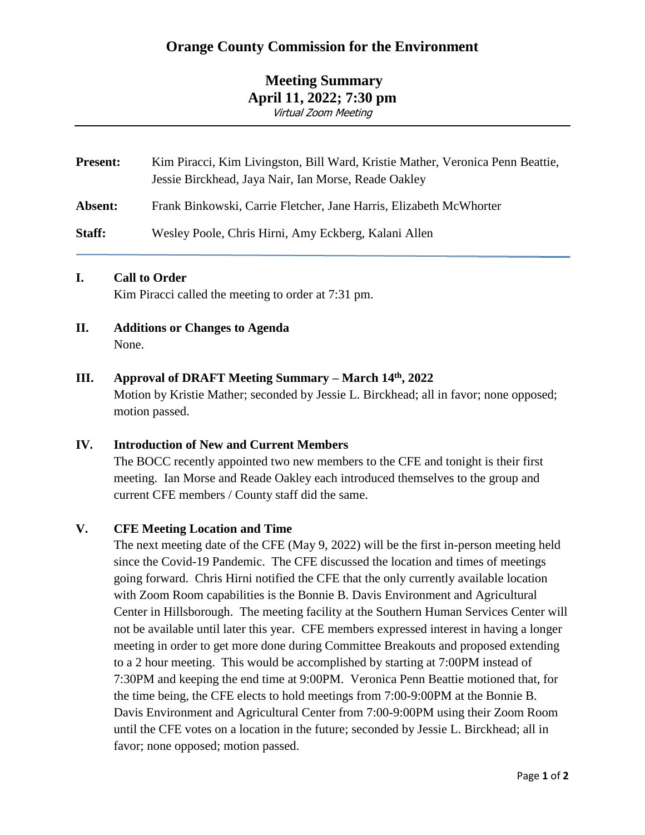# **Meeting Summary April 11, 2022; 7:30 pm** Virtual Zoom Meeting

| <b>Present:</b> | Kim Piracci, Kim Livingston, Bill Ward, Kristie Mather, Veronica Penn Beattie,<br>Jessie Birckhead, Jaya Nair, Ian Morse, Reade Oakley |
|-----------------|----------------------------------------------------------------------------------------------------------------------------------------|
| Absent:         | Frank Binkowski, Carrie Fletcher, Jane Harris, Elizabeth McWhorter                                                                     |
| Staff:          | Wesley Poole, Chris Hirni, Amy Eckberg, Kalani Allen                                                                                   |

### **I. Call to Order**

Kim Piracci called the meeting to order at 7:31 pm.

**II. Additions or Changes to Agenda** None.

### **III. Approval of DRAFT Meeting Summary – March 14th, 2022**

Motion by Kristie Mather; seconded by Jessie L. Birckhead; all in favor; none opposed; motion passed.

#### **IV. Introduction of New and Current Members**

The BOCC recently appointed two new members to the CFE and tonight is their first meeting. Ian Morse and Reade Oakley each introduced themselves to the group and current CFE members / County staff did the same.

### **V. CFE Meeting Location and Time**

The next meeting date of the CFE (May 9, 2022) will be the first in-person meeting held since the Covid-19 Pandemic. The CFE discussed the location and times of meetings going forward. Chris Hirni notified the CFE that the only currently available location with Zoom Room capabilities is the Bonnie B. Davis Environment and Agricultural Center in Hillsborough. The meeting facility at the Southern Human Services Center will not be available until later this year. CFE members expressed interest in having a longer meeting in order to get more done during Committee Breakouts and proposed extending to a 2 hour meeting. This would be accomplished by starting at 7:00PM instead of 7:30PM and keeping the end time at 9:00PM. Veronica Penn Beattie motioned that, for the time being, the CFE elects to hold meetings from 7:00-9:00PM at the Bonnie B. Davis Environment and Agricultural Center from 7:00-9:00PM using their Zoom Room until the CFE votes on a location in the future; seconded by Jessie L. Birckhead; all in favor; none opposed; motion passed.